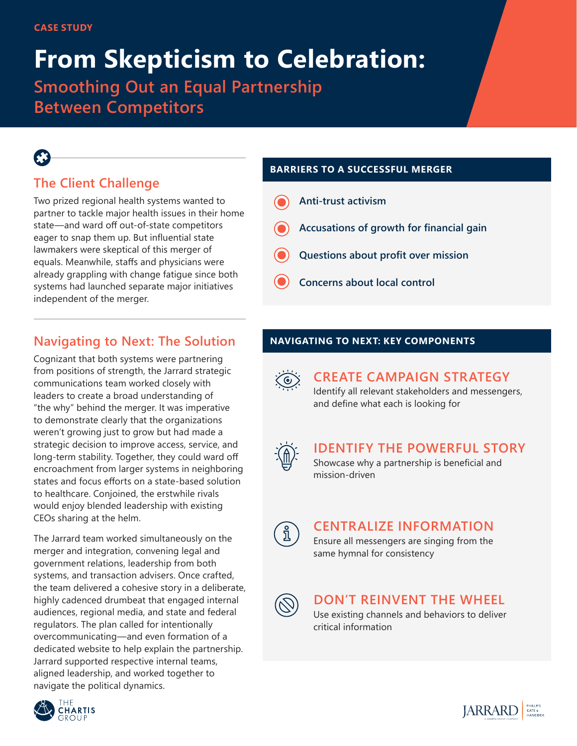# **From Skepticism to Celebration:**

**Smoothing Out an Equal Partnership Between Competitors**

# **The Client Challenge**

Two prized regional health systems wanted to partner to tackle major health issues in their home state—and ward off out-of-state competitors eager to snap them up. But influential state lawmakers were skeptical of this merger of equals. Meanwhile, staffs and physicians were already grappling with change fatigue since both systems had launched separate major initiatives independent of the merger.

# **Navigating to Next: The Solution**

Cognizant that both systems were partnering from positions of strength, the Jarrard strategic communications team worked closely with leaders to create a broad understanding of "the why" behind the merger. It was imperative to demonstrate clearly that the organizations weren't growing just to grow but had made a strategic decision to improve access, service, and long-term stability. Together, they could ward off encroachment from larger systems in neighboring states and focus efforts on a state-based solution to healthcare. Conjoined, the erstwhile rivals would enjoy blended leadership with existing CEOs sharing at the helm.

The Jarrard team worked simultaneously on the merger and integration, convening legal and government relations, leadership from both systems, and transaction advisers. Once crafted, the team delivered a cohesive story in a deliberate, highly cadenced drumbeat that engaged internal audiences, regional media, and state and federal regulators. The plan called for intentionally overcommunicating—and even formation of a dedicated website to help explain the partnership. Jarrard supported respective internal teams, aligned leadership, and worked together to navigate the political dynamics.



#### **BARRIERS TO A SUCCESSFUL MERGER**

- **Anti-trust activism**
- **Accusations of growth for financial gain**
- **Questions about profit over mission**
- **Concerns about local control**

### **NAVIGATING TO NEXT: KEY COMPONENTS**



# **CREATE CAMPAIGN STRATEGY**

Identify all relevant stakeholders and messengers, and define what each is looking for



# **IDENTIFY THE POWERFUL STORY**

Showcase why a partnership is beneficial and mission-driven



### **CENTRALIZE INFORMATION**



Ensure all messengers are singing from the

same hymnal for consistency



# **DON'T REINVENT THE WHEEL**

Use existing channels and behaviors to deliver critical information